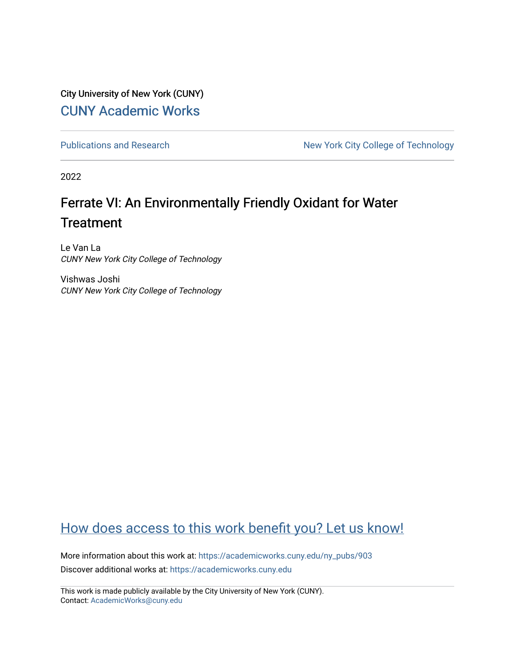City University of New York (CUNY) [CUNY Academic Works](https://academicworks.cuny.edu/) 

[Publications and Research](https://academicworks.cuny.edu/ny_pubs) New York City College of Technology

2022

# Ferrate VI: An Environmentally Friendly Oxidant for Water **Treatment**

Le Van La CUNY New York City College of Technology

Vishwas Joshi CUNY New York City College of Technology

#### [How does access to this work benefit you? Let us know!](http://ols.cuny.edu/academicworks/?ref=https://academicworks.cuny.edu/ny_pubs/903)

More information about this work at: [https://academicworks.cuny.edu/ny\\_pubs/903](https://academicworks.cuny.edu/ny_pubs/903)  Discover additional works at: [https://academicworks.cuny.edu](https://academicworks.cuny.edu/?)

This work is made publicly available by the City University of New York (CUNY). Contact: [AcademicWorks@cuny.edu](mailto:AcademicWorks@cuny.edu)